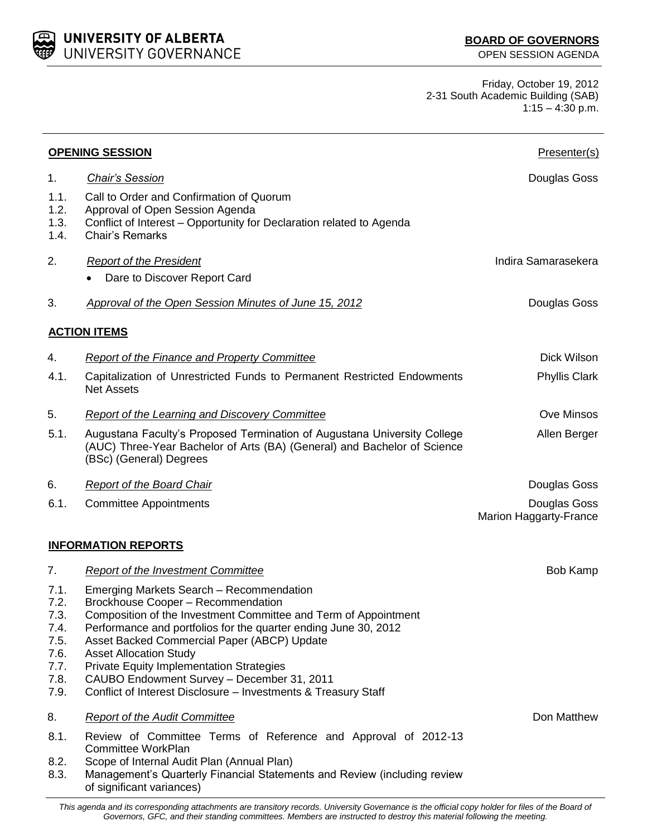*Governors, GFC, and their standing committees. Members are instructed to destroy this material following the meeting.*

Friday, October 19, 2012 2-31 South Academic Building (SAB)  $1:15 - 4:30$  p.m.

| <b>OPENING SESSION</b>                                               |                                                                                                                                                                                                                                                                                                                                                                                                                                                                         | Presenter(s)                                  |
|----------------------------------------------------------------------|-------------------------------------------------------------------------------------------------------------------------------------------------------------------------------------------------------------------------------------------------------------------------------------------------------------------------------------------------------------------------------------------------------------------------------------------------------------------------|-----------------------------------------------|
| 1.                                                                   | <b>Chair's Session</b>                                                                                                                                                                                                                                                                                                                                                                                                                                                  | Douglas Goss                                  |
| 1.1.<br>1.2.<br>1.3.<br>1.4.                                         | Call to Order and Confirmation of Quorum<br>Approval of Open Session Agenda<br>Conflict of Interest – Opportunity for Declaration related to Agenda<br><b>Chair's Remarks</b>                                                                                                                                                                                                                                                                                           |                                               |
| 2.                                                                   | <b>Report of the President</b><br>Dare to Discover Report Card                                                                                                                                                                                                                                                                                                                                                                                                          | Indira Samarasekera                           |
| 3.                                                                   | Approval of the Open Session Minutes of June 15, 2012                                                                                                                                                                                                                                                                                                                                                                                                                   | Douglas Goss                                  |
|                                                                      | <b>ACTION ITEMS</b>                                                                                                                                                                                                                                                                                                                                                                                                                                                     |                                               |
| 4.                                                                   | <b>Report of the Finance and Property Committee</b>                                                                                                                                                                                                                                                                                                                                                                                                                     | Dick Wilson                                   |
| 4.1.                                                                 | Capitalization of Unrestricted Funds to Permanent Restricted Endowments<br><b>Net Assets</b>                                                                                                                                                                                                                                                                                                                                                                            | <b>Phyllis Clark</b>                          |
| 5.                                                                   | Report of the Learning and Discovery Committee                                                                                                                                                                                                                                                                                                                                                                                                                          | Ove Minsos                                    |
| 5.1.                                                                 | Augustana Faculty's Proposed Termination of Augustana University College<br>(AUC) Three-Year Bachelor of Arts (BA) (General) and Bachelor of Science<br>(BSc) (General) Degrees                                                                                                                                                                                                                                                                                         | Allen Berger                                  |
| 6.                                                                   | <b>Report of the Board Chair</b>                                                                                                                                                                                                                                                                                                                                                                                                                                        | Douglas Goss                                  |
| 6.1.                                                                 | <b>Committee Appointments</b>                                                                                                                                                                                                                                                                                                                                                                                                                                           | Douglas Goss<br><b>Marion Haggarty-France</b> |
|                                                                      | <b>INFORMATION REPORTS</b>                                                                                                                                                                                                                                                                                                                                                                                                                                              |                                               |
| 7.                                                                   | <b>Report of the Investment Committee</b>                                                                                                                                                                                                                                                                                                                                                                                                                               | <b>Bob Kamp</b>                               |
| 7.1.<br>7.2.<br>7.3.<br>7.4.<br>7.5.<br>7.6.<br>7.7.<br>7.8.<br>7.9. | Emerging Markets Search - Recommendation<br>Brockhouse Cooper - Recommendation<br>Composition of the Investment Committee and Term of Appointment<br>Performance and portfolios for the quarter ending June 30, 2012<br>Asset Backed Commercial Paper (ABCP) Update<br><b>Asset Allocation Study</b><br><b>Private Equity Implementation Strategies</b><br>CAUBO Endowment Survey - December 31, 2011<br>Conflict of Interest Disclosure - Investments & Treasury Staff |                                               |
| 8.                                                                   | <b>Report of the Audit Committee</b>                                                                                                                                                                                                                                                                                                                                                                                                                                    | Don Matthew                                   |
| 8.1.<br>8.2.<br>8.3.                                                 | Review of Committee Terms of Reference and Approval of 2012-13<br>Committee WorkPlan<br>Scope of Internal Audit Plan (Annual Plan)<br>Management's Quarterly Financial Statements and Review (including review<br>of significant variances)                                                                                                                                                                                                                             |                                               |
|                                                                      | This agenda and its corresponding attachments are transitory records. University Governance is the official copy holder for files of the Board of                                                                                                                                                                                                                                                                                                                       |                                               |



**UNIVERSITY OF ALBERTA<br>UNIVERSITY GOVERNANCE**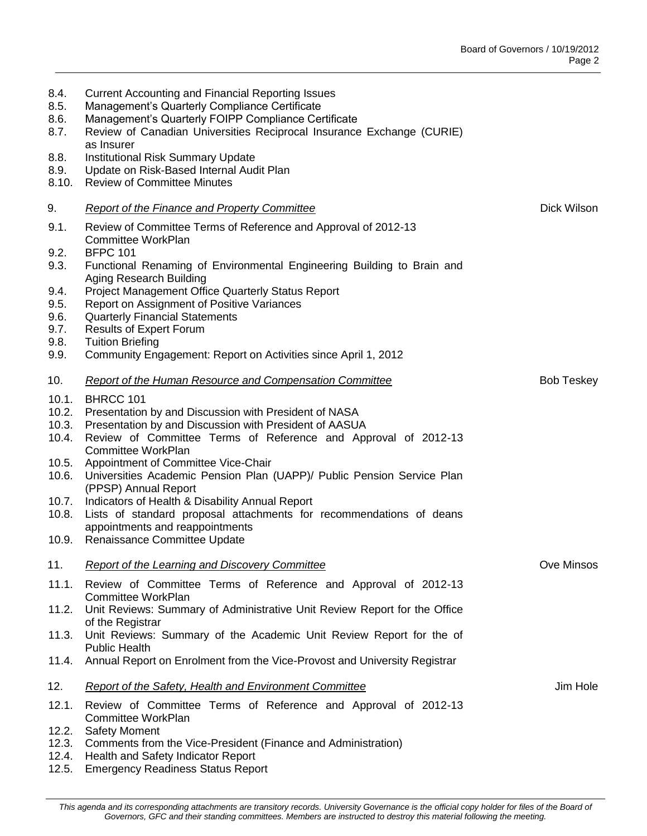| 8.4.<br>8.5.<br>8.6.<br>8.7.     | <b>Current Accounting and Financial Reporting Issues</b><br>Management's Quarterly Compliance Certificate<br>Management's Quarterly FOIPP Compliance Certificate<br>Review of Canadian Universities Reciprocal Insurance Exchange (CURIE)<br>as Insurer |                   |
|----------------------------------|---------------------------------------------------------------------------------------------------------------------------------------------------------------------------------------------------------------------------------------------------------|-------------------|
| 8.8.<br>8.9.<br>8.10.            | Institutional Risk Summary Update<br>Update on Risk-Based Internal Audit Plan<br><b>Review of Committee Minutes</b>                                                                                                                                     |                   |
| 9.                               | <b>Report of the Finance and Property Committee</b>                                                                                                                                                                                                     | Dick Wilson       |
| 9.1.                             | Review of Committee Terms of Reference and Approval of 2012-13<br>Committee WorkPlan                                                                                                                                                                    |                   |
| 9.2.<br>9.3.                     | <b>BFPC 101</b><br>Functional Renaming of Environmental Engineering Building to Brain and<br>Aging Research Building                                                                                                                                    |                   |
| 9.4.<br>9.5.                     | Project Management Office Quarterly Status Report<br>Report on Assignment of Positive Variances                                                                                                                                                         |                   |
| 9.6.<br>9.7.                     | <b>Quarterly Financial Statements</b><br><b>Results of Expert Forum</b>                                                                                                                                                                                 |                   |
| 9.8.<br>9.9.                     | <b>Tuition Briefing</b><br>Community Engagement: Report on Activities since April 1, 2012                                                                                                                                                               |                   |
| 10.                              | <b>Report of the Human Resource and Compensation Committee</b>                                                                                                                                                                                          | <b>Bob Teskey</b> |
| 10.1.<br>10.2.<br>10.3.<br>10.4. | BHRCC 101<br>Presentation by and Discussion with President of NASA<br>Presentation by and Discussion with President of AASUA<br>Review of Committee Terms of Reference and Approval of 2012-13                                                          |                   |
| 10.5.<br>10.6.                   | Committee WorkPlan<br>Appointment of Committee Vice-Chair<br>Universities Academic Pension Plan (UAPP)/ Public Pension Service Plan<br>(PPSP) Annual Report                                                                                             |                   |
| 10.7.<br>10.8.                   | Indicators of Health & Disability Annual Report<br>Lists of standard proposal attachments for recommendations of deans<br>appointments and reappointments                                                                                               |                   |
| 10.9.                            | Renaissance Committee Update                                                                                                                                                                                                                            |                   |
| 11.                              | <b>Report of the Learning and Discovery Committee</b>                                                                                                                                                                                                   | Ove Minsos        |
| 11.1.                            | Review of Committee Terms of Reference and Approval of 2012-13<br>Committee WorkPlan                                                                                                                                                                    |                   |
| 11.2.                            | Unit Reviews: Summary of Administrative Unit Review Report for the Office                                                                                                                                                                               |                   |
| 11.3.                            | of the Registrar<br>Unit Reviews: Summary of the Academic Unit Review Report for the of<br><b>Public Health</b>                                                                                                                                         |                   |
| 11.4.                            | Annual Report on Enrolment from the Vice-Provost and University Registrar                                                                                                                                                                               |                   |
| 12.                              | <b>Report of the Safety, Health and Environment Committee</b>                                                                                                                                                                                           | Jim Hole          |
| 12.1.                            | Review of Committee Terms of Reference and Approval of 2012-13<br>Committee WorkPlan                                                                                                                                                                    |                   |
| 12.2.<br>12.3.                   | <b>Safety Moment</b><br>Comments from the Vice-President (Finance and Administration)                                                                                                                                                                   |                   |

- 12.4. Health and Safety Indicator Report
- 12.5. Emergency Readiness Status Report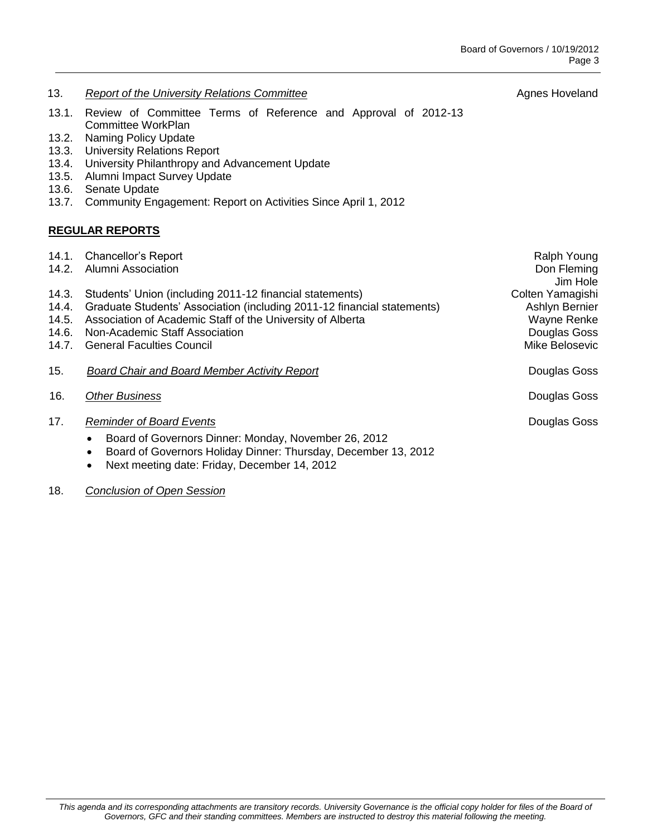- 13. **Report of the University Relations Committee Agnes Hoveland Agnes Hoveland**
- 13.1. Review of Committee Terms of Reference and Approval of 2012-13 Committee WorkPlan
- 13.2. Naming Policy Update
- 13.3. University Relations Report
- 13.4. University Philanthropy and Advancement Update
- 13.5. Alumni Impact Survey Update
- 13.6. Senate Update
- 13.7. Community Engagement: Report on Activities Since April 1, 2012

## **REGULAR REPORTS**

| 14.1.<br>14.2.                            | <b>Chancellor's Report</b><br><b>Alumni Association</b>                                                                                                                                                                                                                 | Ralph Young<br>Don Fleming<br>Jim Hole                                              |
|-------------------------------------------|-------------------------------------------------------------------------------------------------------------------------------------------------------------------------------------------------------------------------------------------------------------------------|-------------------------------------------------------------------------------------|
| 14.3.<br>14.4.<br>14.5.<br>14.6.<br>14.7. | Students' Union (including 2011-12 financial statements)<br>Graduate Students' Association (including 2011-12 financial statements)<br>Association of Academic Staff of the University of Alberta<br>Non-Academic Staff Association<br><b>General Faculties Council</b> | Colten Yamagishi<br>Ashlyn Bernier<br>Wayne Renke<br>Douglas Goss<br>Mike Belosevic |
| 15.                                       | <b>Board Chair and Board Member Activity Report</b>                                                                                                                                                                                                                     | Douglas Goss                                                                        |
| 16.                                       | <b>Other Business</b><br>Douglas Goss                                                                                                                                                                                                                                   |                                                                                     |
| 17.                                       | <b>Reminder of Board Events</b><br>Board of Governors Dinner: Monday, November 26, 2012<br>$\bullet$<br>Board of Governors Holiday Dinner: Thursday, December 13, 2012<br>$\bullet$<br>Next meeting date: Friday, December 14, 2012<br>$\bullet$                        | Douglas Goss                                                                        |

## 18. *Conclusion of Open Session*